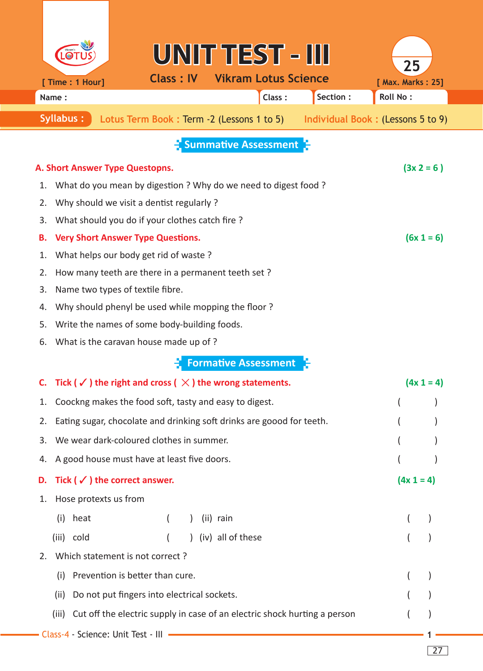|                                                 |                                                                       |                                                                              | UNIT TEST - III             |                             |                                   | 25                |              |  |  |  |  |  |
|-------------------------------------------------|-----------------------------------------------------------------------|------------------------------------------------------------------------------|-----------------------------|-----------------------------|-----------------------------------|-------------------|--------------|--|--|--|--|--|
|                                                 | [ Time : 1 Hour]                                                      | <b>Class: IV</b>                                                             |                             | <b>Vikram Lotus Science</b> |                                   | [ Max. Marks: 25] |              |  |  |  |  |  |
|                                                 | Name:                                                                 | <b>Roll No:</b>                                                              |                             |                             |                                   |                   |              |  |  |  |  |  |
|                                                 | Syllabus:                                                             | Lotus Term Book: Term -2 (Lessons 1 to 5)                                    |                             |                             | Individual Book: (Lessons 5 to 9) |                   |              |  |  |  |  |  |
|                                                 |                                                                       |                                                                              | <b>Summative Assessment</b> |                             |                                   |                   |              |  |  |  |  |  |
| $(3x 2 = 6)$<br>A. Short Answer Type Questopns. |                                                                       |                                                                              |                             |                             |                                   |                   |              |  |  |  |  |  |
|                                                 | What do you mean by digestion ? Why do we need to digest food ?<br>1. |                                                                              |                             |                             |                                   |                   |              |  |  |  |  |  |
| 2.                                              | Why should we visit a dentist regularly ?                             |                                                                              |                             |                             |                                   |                   |              |  |  |  |  |  |
| 3.                                              | What should you do if your clothes catch fire?                        |                                                                              |                             |                             |                                   |                   |              |  |  |  |  |  |
| В.                                              | <b>Very Short Answer Type Questions.</b>                              | $(6x 1 = 6)$                                                                 |                             |                             |                                   |                   |              |  |  |  |  |  |
| 1.                                              |                                                                       | What helps our body get rid of waste?                                        |                             |                             |                                   |                   |              |  |  |  |  |  |
| 2.                                              |                                                                       | How many teeth are there in a permanent teeth set?                           |                             |                             |                                   |                   |              |  |  |  |  |  |
| 3.                                              |                                                                       | Name two types of textile fibre.                                             |                             |                             |                                   |                   |              |  |  |  |  |  |
| 4.                                              |                                                                       | Why should phenyl be used while mopping the floor?                           |                             |                             |                                   |                   |              |  |  |  |  |  |
| 5.                                              |                                                                       | Write the names of some body-building foods.                                 |                             |                             |                                   |                   |              |  |  |  |  |  |
| 6.                                              |                                                                       | What is the caravan house made up of?                                        |                             |                             |                                   |                   |              |  |  |  |  |  |
|                                                 |                                                                       |                                                                              | <b>Formative Assessment</b> |                             |                                   |                   |              |  |  |  |  |  |
| C.                                              |                                                                       | Tick ( $\checkmark$ ) the right and cross ( $\times$ ) the wrong statements. |                             |                             |                                   |                   | $(4x 1 = 4)$ |  |  |  |  |  |
| 1.                                              | Coockng makes the food soft, tasty and easy to digest.                |                                                                              |                             |                             |                                   |                   |              |  |  |  |  |  |
| 2.                                              | Eating sugar, chocolate and drinking soft drinks are goood for teeth. |                                                                              |                             |                             |                                   |                   |              |  |  |  |  |  |
| 3.                                              | We wear dark-coloured clothes in summer.                              |                                                                              |                             |                             |                                   |                   |              |  |  |  |  |  |
| 4.                                              |                                                                       | A good house must have at least five doors.                                  |                             |                             |                                   |                   |              |  |  |  |  |  |
| D.                                              | Tick ( $\checkmark$ ) the correct answer.                             | $(4x 1 = 4)$                                                                 |                             |                             |                                   |                   |              |  |  |  |  |  |
| 1.                                              | Hose protexts us from                                                 |                                                                              |                             |                             |                                   |                   |              |  |  |  |  |  |
|                                                 | heat<br>(i)                                                           |                                                                              | (ii) rain                   |                             |                                   |                   |              |  |  |  |  |  |
|                                                 | (iii) cold                                                            |                                                                              | (iv) all of these           |                             |                                   |                   |              |  |  |  |  |  |
| 2.                                              |                                                                       | Which statement is not correct?                                              |                             |                             |                                   |                   |              |  |  |  |  |  |
|                                                 | (i)                                                                   | Prevention is better than cure.                                              |                             |                             |                                   |                   |              |  |  |  |  |  |
|                                                 | (ii)                                                                  | Do not put fingers into electrical sockets.                                  |                             |                             |                                   |                   |              |  |  |  |  |  |
|                                                 | (iii)                                                                 | Cut off the electric supply in case of an electric shock hurting a person    |                             |                             |                                   |                   |              |  |  |  |  |  |
|                                                 |                                                                       | - Class-4 - Science: Unit Test - III -                                       |                             |                             |                                   |                   |              |  |  |  |  |  |
|                                                 |                                                                       |                                                                              |                             |                             |                                   |                   | 27           |  |  |  |  |  |